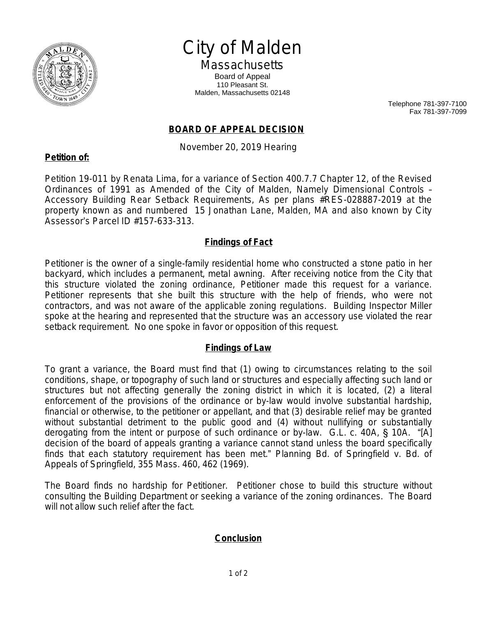

# City of Malden

**Massachusetts** Board of Appeal 110 Pleasant St. Malden, Massachusetts 02148

> Telephone 781-397-7100 Fax 781-397-7099

### **BOARD OF APPEAL DECISION**

November 20, 2019 Hearing

#### **Petition of:**

Petition 19-011 by Renata Lima, for a variance of Section 400.7.7 Chapter 12, of the Revised Ordinances of 1991 as Amended of the City of Malden, Namely Dimensional Controls – Accessory Building Rear Setback Requirements, As per plans #RES-028887-2019 at the property known as and numbered 15 Jonathan Lane, Malden, MA and also known by City Assessor's Parcel ID #157-633-313.

#### **Findings of Fact**

Petitioner is the owner of a single-family residential home who constructed a stone patio in her backyard, which includes a permanent, metal awning. After receiving notice from the City that this structure violated the zoning ordinance, Petitioner made this request for a variance. Petitioner represents that she built this structure with the help of friends, who were not contractors, and was not aware of the applicable zoning regulations. Building Inspector Miller spoke at the hearing and represented that the structure was an accessory use violated the rear setback requirement. No one spoke in favor or opposition of this request.

#### **Findings of Law**

To grant a variance, the Board must find that (1) owing to circumstances relating to the soil conditions, shape, or topography of such land or structures and especially affecting such land or structures but not affecting generally the zoning district in which it is located, (2) a literal enforcement of the provisions of the ordinance or by-law would involve substantial hardship, financial or otherwise, to the petitioner or appellant, and that (3) desirable relief may be granted without substantial detriment to the public good and (4) without nullifying or substantially derogating from the intent or purpose of such ordinance or by-law. G.L. c. 40A, § 10A. "[A] decision of the board of appeals granting a variance cannot stand unless the board specifically finds that each statutory requirement has been met." *Planning Bd. of Springfield v. Bd. of Appeals of Springfield*, 355 Mass. 460, 462 (1969).

The Board finds no hardship for Petitioner. Petitioner chose to build this structure without consulting the Building Department or seeking a variance of the zoning ordinances. The Board will not allow such relief after the fact.

## **Conclusion**